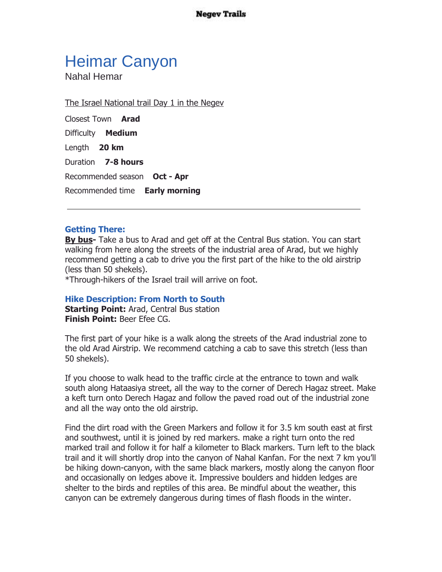**Negev Trails** 

## Heimar Canyon

Nahal Hemar

The Israel National trail Day 1 in the Negev

Closest Town **Arad** Difficulty **Medium** Length **20 km** Duration **7-8 hours** Recommended season **Oct - Apr** Recommended time **Early morning**

## **Getting There:**

**By bus-** Take a bus to Arad and get off at the Central Bus station. You can start walking from here along the streets of the industrial area of Arad, but we highly recommend getting a cab to drive you the first part of the hike to the old airstrip (less than 50 shekels).

\*Through-hikers of the Israel trail will arrive on foot.

## **Hike Description: From North to South**

**Starting Point:** Arad, Central Bus station **Finish Point:** Beer Efee CG.

The first part of your hike is a walk along the streets of the Arad industrial zone to the old Arad Airstrip. We recommend catching a cab to save this stretch (less than 50 shekels).

If you choose to walk head to the traffic circle at the entrance to town and walk south along Hataasiya street, all the way to the corner of Derech Hagaz street. Make a keft turn onto Derech Hagaz and follow the paved road out of the industrial zone and all the way onto the old airstrip.

Find the dirt road with the Green Markers and follow it for 3.5 km south east at first and southwest, until it is joined by red markers. make a right turn onto the red marked trail and follow it for half a kilometer to Black markers. Turn left to the black trail and it will shortly drop into the canyon of Nahal Kanfan. For the next 7 km you'll be hiking down-canyon, with the same black markers, mostly along the canyon floor and occasionally on ledges above it. Impressive boulders and hidden ledges are shelter to the birds and reptiles of this area. Be mindful about the weather, this canyon can be extremely dangerous during times of flash floods in the winter.